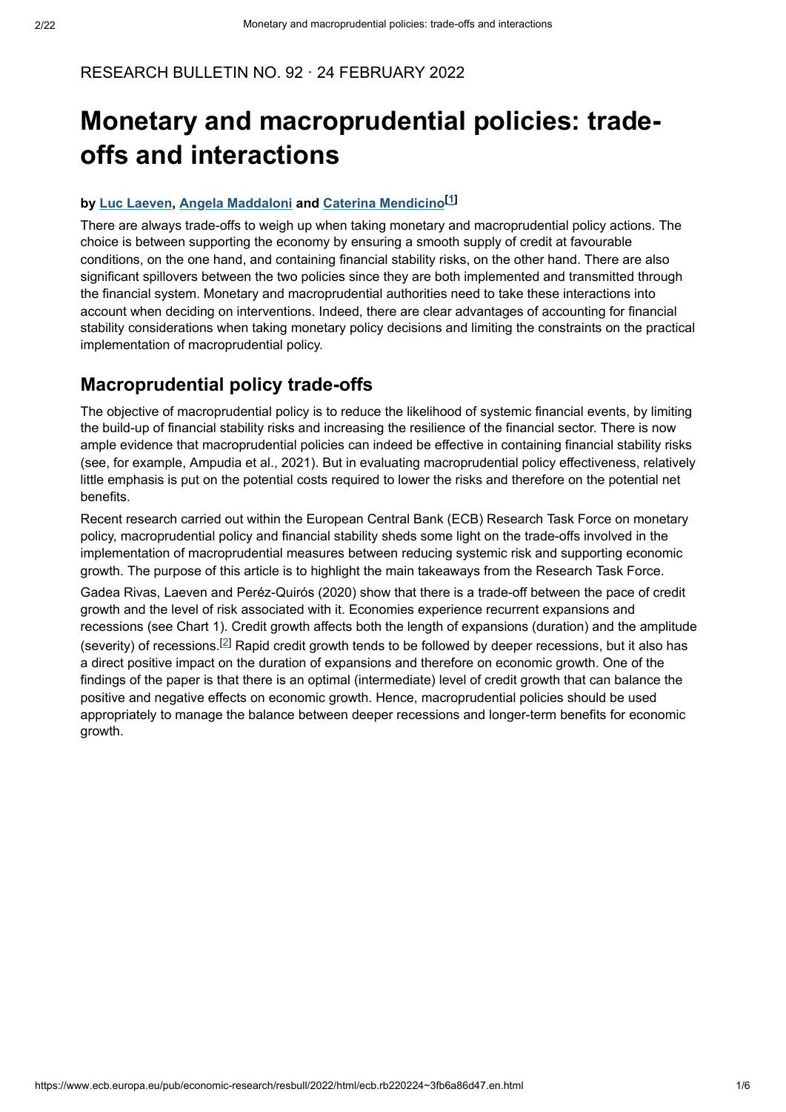#### RESEARCH BULLETIN NO. 92 · 24 FEBRUARY 2022

# **Monetary and macroprudential policies: tradeoffs and interactions**

#### $b$ y Luc Laeven, Angela Maddaloni and [Caterina Mendicino](https://www.ecb.europa.eu/pub/research/authors/profiles/caterina-mendicino.en.html)<sup>[1]</sup>

There are always trade-offs to weigh up when taking monetary and macroprudential policy actions. The choice is between supporting the economy by ensuring a smooth supply of credit at favourable conditions, on the one hand, and containing financial stability risks, on the other hand. There are also significant spillovers between the two policies since they are both implemented and transmitted through the financial system. Monetary and macroprudential authorities need to take these interactions into account when deciding on interventions. Indeed, there are clear advantages of accounting for financial stability considerations when taking monetary policy decisions and limiting the constraints on the practical implementation of macroprudential policy.

#### **Macroprudential policy trade-offs**

The objective of macroprudential policy is to reduce the likelihood of systemic financial events, by limiting the build-up of financial stability risks and increasing the resilience of the financial sector. There is now ample evidence that macroprudential policies can indeed be effective in containing financial stability risks (see, for example, Ampudia et al., 2021). But in evaluating macroprudential policy effectiveness, relatively little emphasis is put on the potential costs required to lower the risks and therefore on the potential net benefits.

Recent research carried out within the European Central Bank (ECB) Research Task Force on monetary policy, macroprudential policy and financial stability sheds some light on the trade-offs involved in the implementation of macroprudential measures between reducing systemic risk and supporting economic growth. The purpose of this article is to highlight the main takeaways from the Research Task Force.

Gadea Rivas, Laeven and Peréz-Quirós (2020) show that there is a trade-off between the pace of credit growth and the level of risk associated with it. Economies experience recurrent expansions and recessions (see Chart 1). Credit growth affects both the length of expansions (duration) and the amplitude (severity) of recessions.<sup>[2]</sup> Rapid credit growth tends to be followed by deeper recessions, but it also has a direct positive impact on the duration of expansions and therefore on economic growth. One of the findings of the paper is that there is an optimal (intermediate) level of credit growth that can balance the positive and negative effects on economic growth. Hence, macroprudential policies should be used appropriately to manage the balance between deeper recessions and longer-term benefits for economic growth.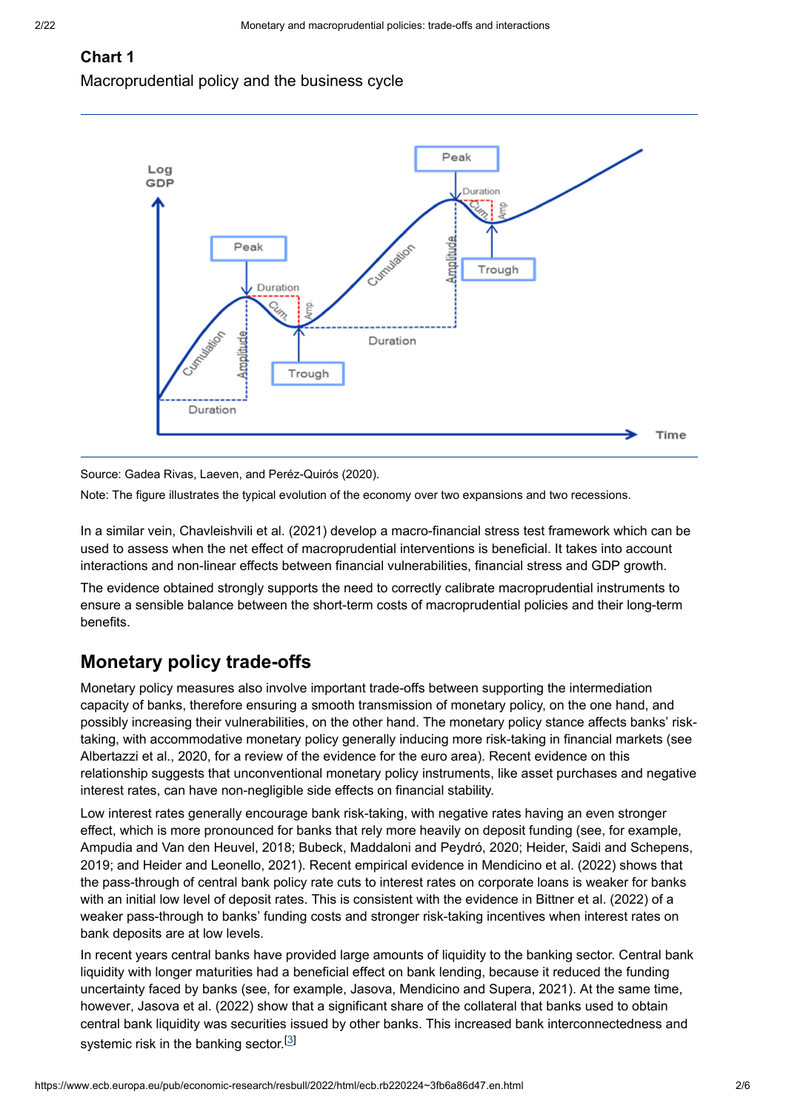### **Chart 1**

Macroprudential policy and the business cycle



Source: Gadea Rivas, Laeven, and Peréz-Quirós (2020).

Note: The figure illustrates the typical evolution of the economy over two expansions and two recessions.

In a similar vein, Chavleishvili et al. (2021) develop a macro-financial stress test framework which can be used to assess when the net effect of macroprudential interventions is beneficial. It takes into account interactions and non-linear effects between financial vulnerabilities, financial stress and GDP growth.

The evidence obtained strongly supports the need to correctly calibrate macroprudential instruments to ensure a sensible balance between the short-term costs of macroprudential policies and their long-term benefits.

# **Monetary policy trade-offs**

Monetary policy measures also involve important trade-offs between supporting the intermediation capacity of banks, therefore ensuring a smooth transmission of monetary policy, on the one hand, and possibly increasing their vulnerabilities, on the other hand. The monetary policy stance affects banks' risktaking, with accommodative monetary policy generally inducing more risk-taking in financial markets (see Albertazzi et al., 2020, for a review of the evidence for the euro area). Recent evidence on this relationship suggests that unconventional monetary policy instruments, like asset purchases and negative interest rates, can have non-negligible side effects on financial stability.

Low interest rates generally encourage bank risk-taking, with negative rates having an even stronger effect, which is more pronounced for banks that rely more heavily on deposit funding (see, for example, Ampudia and Van den Heuvel, 2018; Bubeck, Maddaloni and Peydró, 2020; Heider, Saidi and Schepens, 2019; and Heider and Leonello, 2021). Recent empirical evidence in Mendicino et al. (2022) shows that the pass-through of central bank policy rate cuts to interest rates on corporate loans is weaker for banks with an initial low level of deposit rates. This is consistent with the evidence in Bittner et al. (2022) of a weaker pass-through to banks' funding costs and stronger risk-taking incentives when interest rates on bank deposits are at low levels.

In recent years central banks have provided large amounts of liquidity to the banking sector. Central bank liquidity with longer maturities had a beneficial effect on bank lending, because it reduced the funding uncertainty faced by banks (see, for example, Jasova, Mendicino and Supera, 2021). At the same time, however, Jasova et al. (2022) show that a significant share of the collateral that banks used to obtain central bank liquidity was securities issued by other banks. This increased bank interconnectedness and systemic risk in the banking sector.<sup>[3]</sup>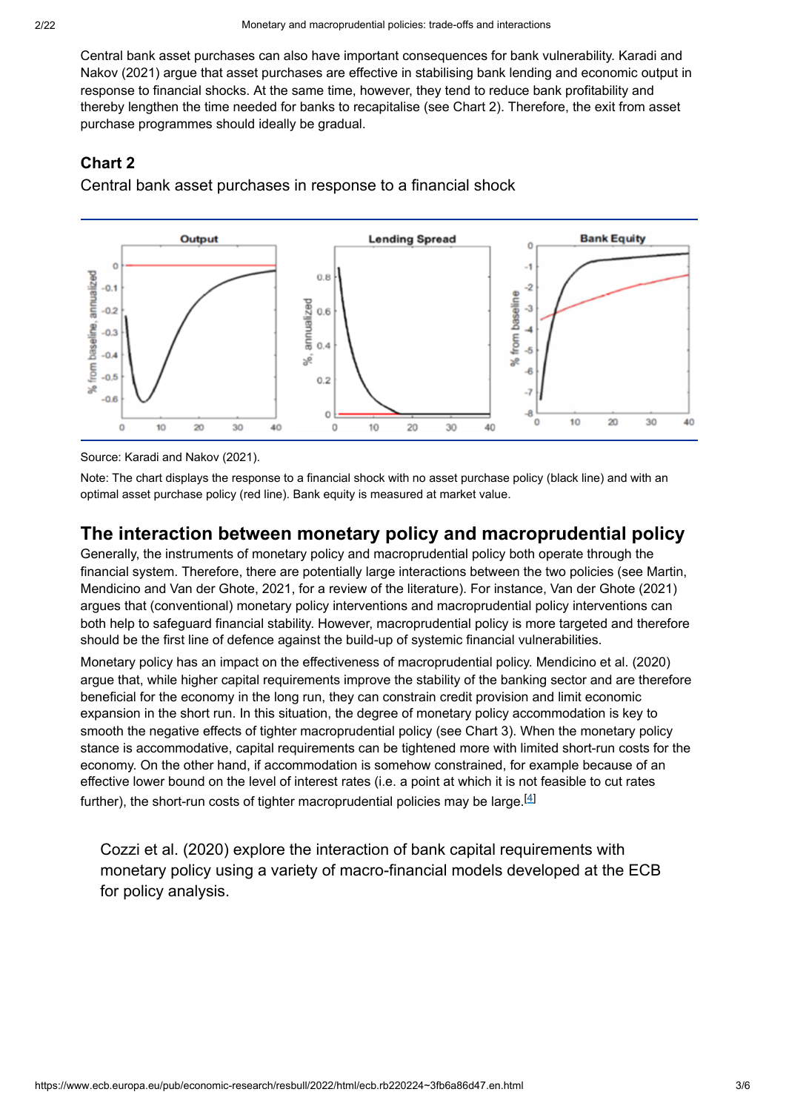Central bank asset purchases can also have important consequences for bank vulnerability. Karadi and Nakov (2021) argue that asset purchases are effective in stabilising bank lending and economic output in response to financial shocks. At the same time, however, they tend to reduce bank profitability and thereby lengthen the time needed for banks to recapitalise (see Chart 2). Therefore, the exit from asset purchase programmes should ideally be gradual.

#### **Chart 2**

Central bank asset purchases in response to a financial shock



Source: Karadi and Nakov (2021).

Note: The chart displays the response to a financial shock with no asset purchase policy (black line) and with an optimal asset purchase policy (red line). Bank equity is measured at market value.

# **The interaction between monetary policy and macroprudential policy**

Generally, the instruments of monetary policy and macroprudential policy both operate through the financial system. Therefore, there are potentially large interactions between the two policies (see Martin, Mendicino and Van der Ghote, 2021, for a review of the literature). For instance, Van der Ghote (2021) argues that (conventional) monetary policy interventions and macroprudential policy interventions can both help to safeguard financial stability. However, macroprudential policy is more targeted and therefore should be the first line of defence against the build-up of systemic financial vulnerabilities.

Monetary policy has an impact on the effectiveness of macroprudential policy. Mendicino et al. (2020) argue that, while higher capital requirements improve the stability of the banking sector and are therefore beneficial for the economy in the long run, they can constrain credit provision and limit economic expansion in the short run. In this situation, the degree of monetary policy accommodation is key to smooth the negative effects of tighter macroprudential policy (see Chart 3). When the monetary policy stance is accommodative, capital requirements can be tightened more with limited short-run costs for the economy. On the other hand, if accommodation is somehow constrained, for example because of an effective lower bound on the level of interest rates (i.e. a point at which it is not feasible to cut rates further), the short-run costs of tighter macroprudential policies may be large. $^{\lbrack4]}$ 

Cozzi et al. (2020) explore the interaction of bank capital requirements with monetary policy using a variety of macro-financial models developed at the ECB for policy analysis.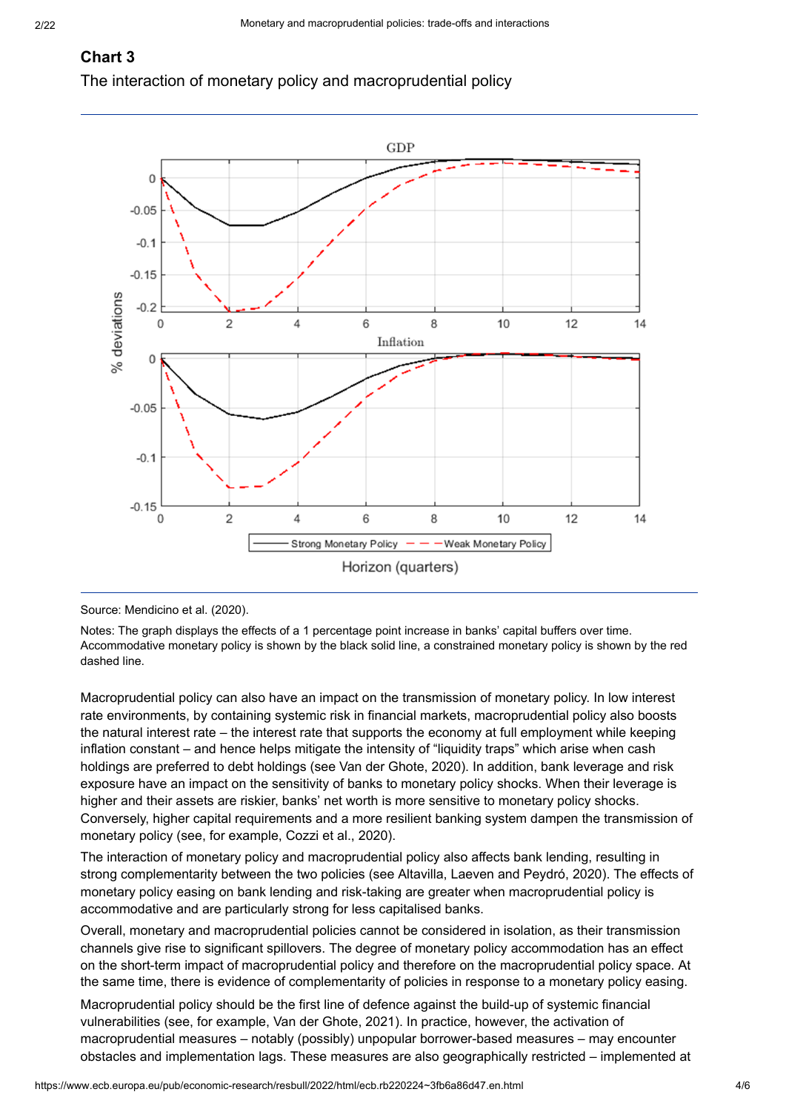# **Chart 3**

The interaction of monetary policy and macroprudential policy



Source: Mendicino et al. (2020).

Notes: The graph displays the effects of a 1 percentage point increase in banks' capital buffers over time. Accommodative monetary policy is shown by the black solid line, a constrained monetary policy is shown by the red dashed line.

Macroprudential policy can also have an impact on the transmission of monetary policy. In low interest rate environments, by containing systemic risk in financial markets, macroprudential policy also boosts the natural interest rate – the interest rate that supports the economy at full employment while keeping inflation constant – and hence helps mitigate the intensity of "liquidity traps" which arise when cash holdings are preferred to debt holdings (see Van der Ghote, 2020). In addition, bank leverage and risk exposure have an impact on the sensitivity of banks to monetary policy shocks. When their leverage is higher and their assets are riskier, banks' net worth is more sensitive to monetary policy shocks. Conversely, higher capital requirements and a more resilient banking system dampen the transmission of monetary policy (see, for example, Cozzi et al., 2020).

The interaction of monetary policy and macroprudential policy also affects bank lending, resulting in strong complementarity between the two policies (see Altavilla, Laeven and Peydró, 2020). The effects of monetary policy easing on bank lending and risk-taking are greater when macroprudential policy is accommodative and are particularly strong for less capitalised banks.

Overall, monetary and macroprudential policies cannot be considered in isolation, as their transmission channels give rise to significant spillovers. The degree of monetary policy accommodation has an effect on the short-term impact of macroprudential policy and therefore on the macroprudential policy space. At the same time, there is evidence of complementarity of policies in response to a monetary policy easing.

Macroprudential policy should be the first line of defence against the build-up of systemic financial vulnerabilities (see, for example, Van der Ghote, 2021). In practice, however, the activation of macroprudential measures – notably (possibly) unpopular borrower-based measures – may encounter obstacles and implementation lags. These measures are also geographically restricted – implemented at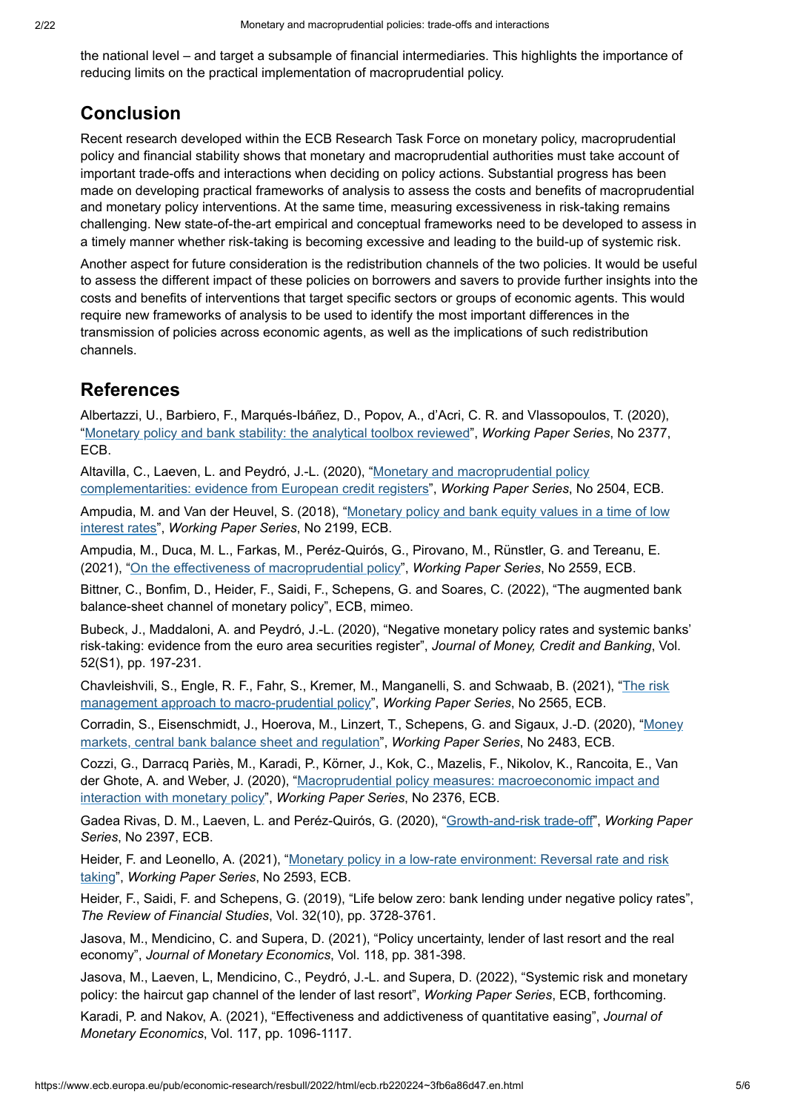the national level – and target a subsample of financial intermediaries. This highlights the importance of reducing limits on the practical implementation of macroprudential policy.

# **Conclusion**

Recent research developed within the ECB Research Task Force on monetary policy, macroprudential policy and financial stability shows that monetary and macroprudential authorities must take account of important trade-offs and interactions when deciding on policy actions. Substantial progress has been made on developing practical frameworks of analysis to assess the costs and benefits of macroprudential and monetary policy interventions. At the same time, measuring excessiveness in risk-taking remains challenging. New state-of-the-art empirical and conceptual frameworks need to be developed to assess in a timely manner whether risk-taking is becoming excessive and leading to the build-up of systemic risk.

Another aspect for future consideration is the redistribution channels of the two policies. It would be useful to assess the different impact of these policies on borrowers and savers to provide further insights into the costs and benefits of interventions that target specific sectors or groups of economic agents. This would require new frameworks of analysis to be used to identify the most important differences in the transmission of policies across economic agents, as well as the implications of such redistribution channels.

# **References**

Albertazzi, U., Barbiero, F., Marqués-Ibáñez, D., Popov, A., d'Acri, C. R. and Vlassopoulos, T. (2020), "[Monetary policy and bank stability: the analytical toolbox reviewed](https://www.ecb.europa.eu/pub/pdf/scpwps/ecb.wp2377~b930c6de4c.en.pdf?307887cc76936941a9bf081baf2ec9c8)", Working Paper Series, No 2377, ECB.

Altavilla, C., Laeven, L. and Peydró, J.-L. (2020), "<u>Monetary and macroprudential policy</u> [complementarities: evidence from European credit registers](https://www.ecb.europa.eu/pub/pdf/scpwps/ecb.wp2504~2ea8ce96ed.en.pdf?8819469bb5776b1a70514ba3c1ac62aa)", Working Paper Series, No 2504, ECB.

Ampudia, M. and Van der Heuvel, S. (2018), "<u>[Monetary policy and bank equity values in a time of low](https://www.ecb.europa.eu/pub/pdf/scpwps/ecb.wp2199.en.pdf?c5c651eb06e94cc4d080700b6ff3a11f)</u> interest rates", Working Paper Series, No 2199, ECB.

Ampudia, M., Duca, M. L., Farkas, M., Peréz-Quirós, G., Pirovano, M., Rünstler, G. and Tereanu, E. (2021), "[On the effectiveness of macroprudential policy](https://www.ecb.europa.eu/pub/pdf/scpwps/ecb.wp2559~15125406fd.en.pdf?4bf9f2baccb8cc4659b796a8e491185c)", Working Paper Series, No 2559, ECB.

Bittner, C., Bonfim, D., Heider, F., Saidi, F., Schepens, G. and Soares, C. (2022), "The augmented bank balance-sheet channel of monetary policy", ECB, mimeo.

Bubeck, J., Maddaloni, A. and Peydró, J.-L. (2020), "Negative monetary policy rates and systemic banks' risk-taking: evidence from the euro area securities register", *Journal of Money, Credit and Banking*, Vol. 52(S1), pp. 197-231.

[Chavleishvili, S., Engle, R. F., Fahr, S., Kremer, M., Manganelli, S. and Schwaab, B. \(2021\), "](https://www.ecb.europa.eu/pub/pdf/scpwps/ecb.wp2565~e7b85e3982.en.pdf?d4536ab3ebf1002c285aa2fe55916ddb)The risk management approach to macro-prudential policy", Working Paper Series, No 2565, ECB.

[Corradin, S., Eisenschmidt, J., Hoerova, M., Linzert, T., Schepens, G. and Sigaux, J.-D. \(2020\), "](https://www.ecb.europa.eu/pub/pdf/scpwps/ecb.wp2483~24d0fb56ec.en.pdf?beeb716e935ac8d0a64eba937a5842cb)Money markets, central bank balance sheet and regulation", Working Paper Series, No 2483, ECB.

Cozzi, G., Darracq Pariès, M., Karadi, P., Körner, J., Kok, C., Mazelis, F., Nikolov, K., Rancoita, E., Van der Ghote, A. and Weber, J. (2020), "[Macroprudential policy measures: macroeconomic impact and](https://www.ecb.europa.eu/pub/pdf/scpwps/ecb.wp2376~7e9a0cae47.en.pdf?bb896df0682d59b3ac7be130d3841ad0) interaction with monetary policy", Working Paper Series, No 2376, ECB.

Gadea Rivas, D. M., Laeven, L. and Peréz-Quirós, G. (2020), "<u>[Growth-and-risk trade-off](https://www.ecb.europa.eu/pub/pdf/scpwps/ecb.wp2397~1119106919.en.pdf?5e0a6e80fecbb4bb9300768cbfbe5513)</u>", *Working Paper Series*, No 2397, ECB.

Heider, F. and Leonello, A. (2021), "<u>[Monetary policy in a low-rate environment: Reversal rate and risk](https://www.ecb.europa.eu/pub/pdf/scpwps/ecb.wp2593~c97d059554.en.pdf?e913a317e7f48d5afcda925925e4f27d)</u> taking", *Working Paper Series*, No 2593, ECB.

Heider, F., Saidi, F. and Schepens, G. (2019), "Life below zero: bank lending under negative policy rates", *The Review of Financial Studies*, Vol. 32(10), pp. 3728-3761.

Jasova, M., Mendicino, C. and Supera, D. (2021), "Policy uncertainty, lender of last resort and the real economy", *Journal of Monetary Economics*, Vol. 118, pp. 381-398.

Jasova, M., Laeven, L, Mendicino, C., Peydró, J.-L. and Supera, D. (2022), "Systemic risk and monetary policy: the haircut gap channel of the lender of last resort", *Working Paper Series*, ECB, forthcoming.

Karadi, P. and Nakov, A. (2021), "Effectiveness and addictiveness of quantitative easing", *Journal of Monetary Economics*, Vol. 117, pp. 1096-1117.